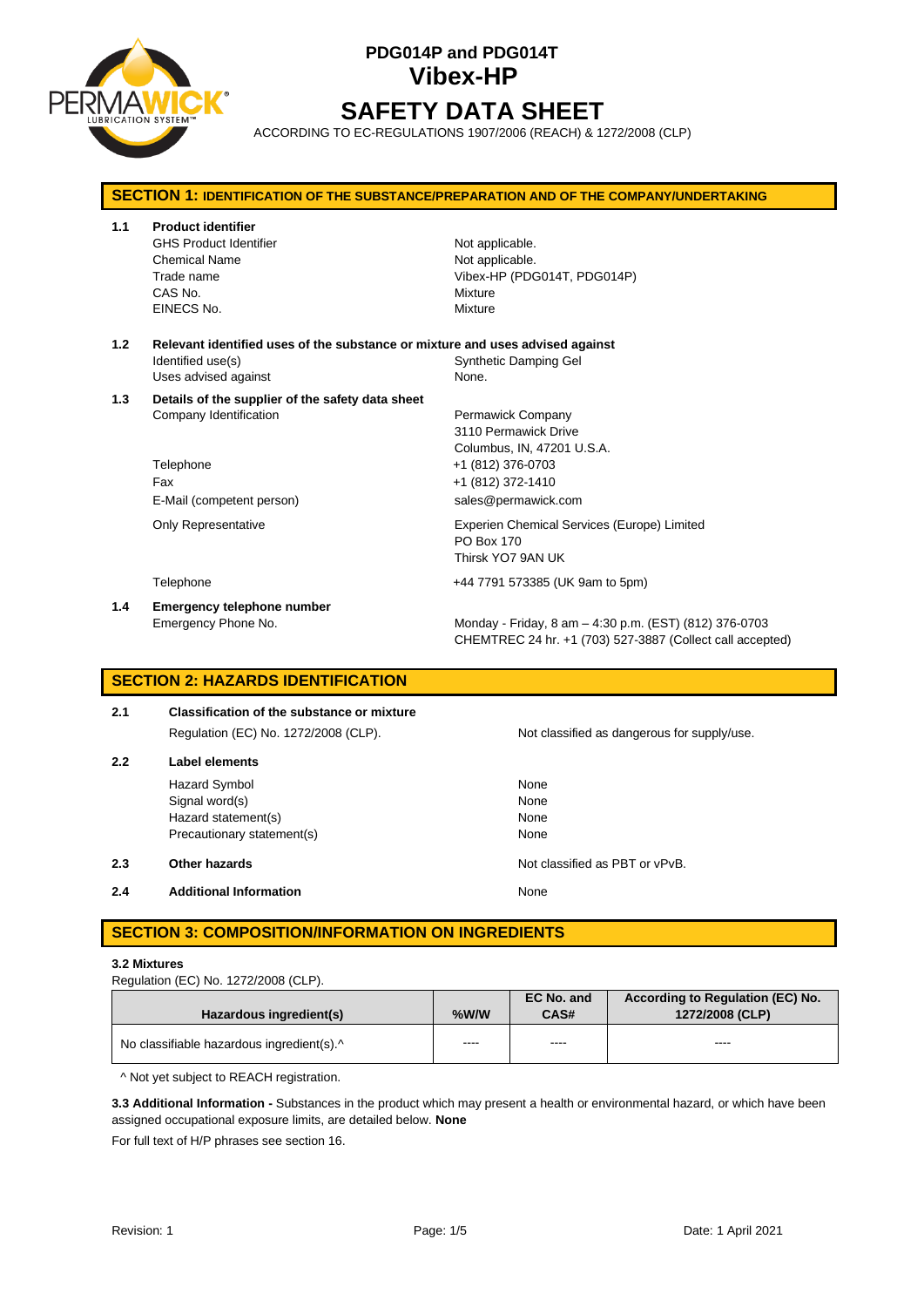

# **PDG014P and PDG014T Vibex-HP SAFETY DATA SHEET**

ACCORDING TO EC-REGULATIONS 1907/2006 (REACH) & 1272/2008 (CLP)

## **SECTION 1: IDENTIFICATION OF THE SUBSTANCE/PREPARATION AND OF THE COMPANY/UNDERTAKING 1.1 Product identifier** GHS Product Identifier Not applicable. Chemical Name Not applicable. Trade name Vibex-HP (PDG014T, PDG014P) CAS No. **Mixture** EINECS No. 2008 2009 2009 2009 2009 2009 2012 2022 2030 2040 2052 2053 2062 2073 2074 2075 2076 2077 2078 2079 **1.2 Relevant identified uses of the substance or mixture and uses advised against** Identified use(s) Synthetic Damping Gel Uses advised against None. **1.3 Details of the supplier of the safety data sheet** Company Identification **Permawick Company** 3110 Permawick Drive Columbus, IN, 47201 U.S.A. Telephone +1 (812) 376-0703 Fax +1 (812) 372-1410 E-Mail (competent person) sales@permawick.com Only Representative Experien Chemical Services (Europe) Limited PO Box 170 Thirsk YO7 9AN UK Telephone +44 7791 573385 (UK 9am to 5pm) **1.4 Emergency telephone number** Emergency Phone No. **Monday - Friday, 8 am – 4:30 p.m. (EST) (812) 376-0703** CHEMTREC 24 hr. +1 (703) 527-3887 (Collect call accepted)

## **SECTION 2: HAZARDS IDENTIFICATION**

## **2.1 Classification of the substance or mixture** Regulation (EC) No. 1272/2008 (CLP). Not classified as dangerous for supply/use. **2.2 Label elements** Hazard Symbol None Signal word(s) None Hazard statement(s) None Precautionary statement(s) None **2.3 Other hazards Details Other hazards Other hazards Not classified as PBT or vPvB. 2.4 Additional Information None**

## **SECTION 3: COMPOSITION/INFORMATION ON INGREDIENTS**

## **3.2 Mixtures**

| Regulation (EC) No. 1272/2008 (CLP). |  |
|--------------------------------------|--|
|--------------------------------------|--|

| Hazardous ingredient(s)                   | %W/W | EC No. and<br>CAS# | According to Regulation (EC) No.<br>1272/2008 (CLP) |
|-------------------------------------------|------|--------------------|-----------------------------------------------------|
| No classifiable hazardous ingredient(s).^ | ---- | ----               | ----                                                |

^ Not yet subject to REACH registration.

**3.3 Additional Information -** Substances in the product which may present a health or environmental hazard, or which have been assigned occupational exposure limits, are detailed below. **None**

For full text of H/P phrases see section 16.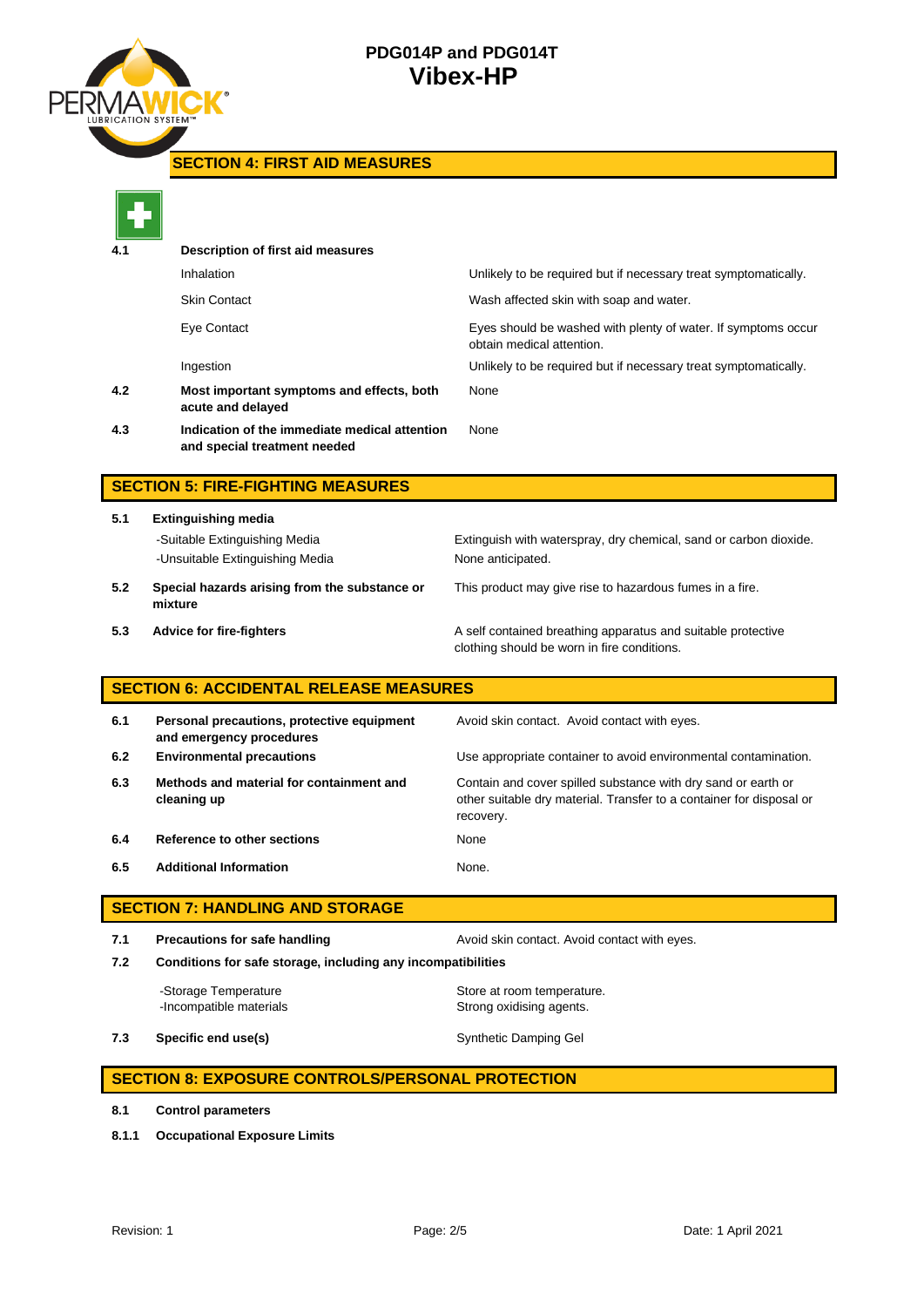

**SECTION 4: FIRST AID MEASURES**

|                                        | <b>Description of first aid measures</b>                                      |                                                                                                                                                    |  |  |
|----------------------------------------|-------------------------------------------------------------------------------|----------------------------------------------------------------------------------------------------------------------------------------------------|--|--|
|                                        | Inhalation                                                                    | Unlikely to be required but if necessary treat symptomatically.                                                                                    |  |  |
|                                        | <b>Skin Contact</b>                                                           | Wash affected skin with soap and water.                                                                                                            |  |  |
|                                        | Eye Contact                                                                   | Eyes should be washed with plenty of water. If symptoms occur<br>obtain medical attention.                                                         |  |  |
|                                        | Ingestion                                                                     | Unlikely to be required but if necessary treat symptomatically.                                                                                    |  |  |
| 4.2                                    | Most important symptoms and effects, both<br>acute and delayed                | None                                                                                                                                               |  |  |
| 4.3                                    | Indication of the immediate medical attention<br>and special treatment needed | None                                                                                                                                               |  |  |
|                                        | <b>SECTION 5: FIRE-FIGHTING MEASURES</b>                                      |                                                                                                                                                    |  |  |
| 5.1                                    | <b>Extinguishing media</b>                                                    |                                                                                                                                                    |  |  |
|                                        | -Suitable Extinguishing Media<br>-Unsuitable Extinguishing Media              | Extinguish with waterspray, dry chemical, sand or carbon dioxide.<br>None anticipated.                                                             |  |  |
| 5.2                                    | Special hazards arising from the substance or<br>mixture                      | This product may give rise to hazardous fumes in a fire.                                                                                           |  |  |
| 5.3                                    | <b>Advice for fire-fighters</b>                                               | A self contained breathing apparatus and suitable protective<br>clothing should be worn in fire conditions.                                        |  |  |
|                                        | <b>SECTION 6: ACCIDENTAL RELEASE MEASURES</b>                                 |                                                                                                                                                    |  |  |
| 6.1                                    | Personal precautions, protective equipment<br>and emergency procedures        | Avoid skin contact. Avoid contact with eyes.                                                                                                       |  |  |
| 6.2                                    | <b>Environmental precautions</b>                                              | Use appropriate container to avoid environmental contamination.                                                                                    |  |  |
| 6.3                                    | Methods and material for containment and<br>cleaning up                       | Contain and cover spilled substance with dry sand or earth or<br>other suitable dry material. Transfer to a container for disposal or<br>recovery. |  |  |
| 6.4                                    | Reference to other sections                                                   | None                                                                                                                                               |  |  |
| 6.5                                    | <b>Additional Information</b>                                                 | None.                                                                                                                                              |  |  |
| <b>SECTION 7: HANDLING AND STORAGE</b> |                                                                               |                                                                                                                                                    |  |  |
| 7.1                                    | Precautions for safe handling                                                 | Avoid skin contact. Avoid contact with eyes.                                                                                                       |  |  |
| 7.2                                    | Conditions for safe storage, including any incompatibilities                  |                                                                                                                                                    |  |  |
|                                        | -Storage Temperature<br>-Incompatible materials                               | Store at room temperature.<br>Strong oxidising agents.                                                                                             |  |  |
| 7.3                                    | Specific end use(s)                                                           | Synthetic Damping Gel                                                                                                                              |  |  |
|                                        | <b>SECTION 8: EXPOSURE CONTROLS/PERSONAL PROTECTION</b>                       |                                                                                                                                                    |  |  |

**8.1 Control parameters**

**8.1.1 Occupational Exposure Limits**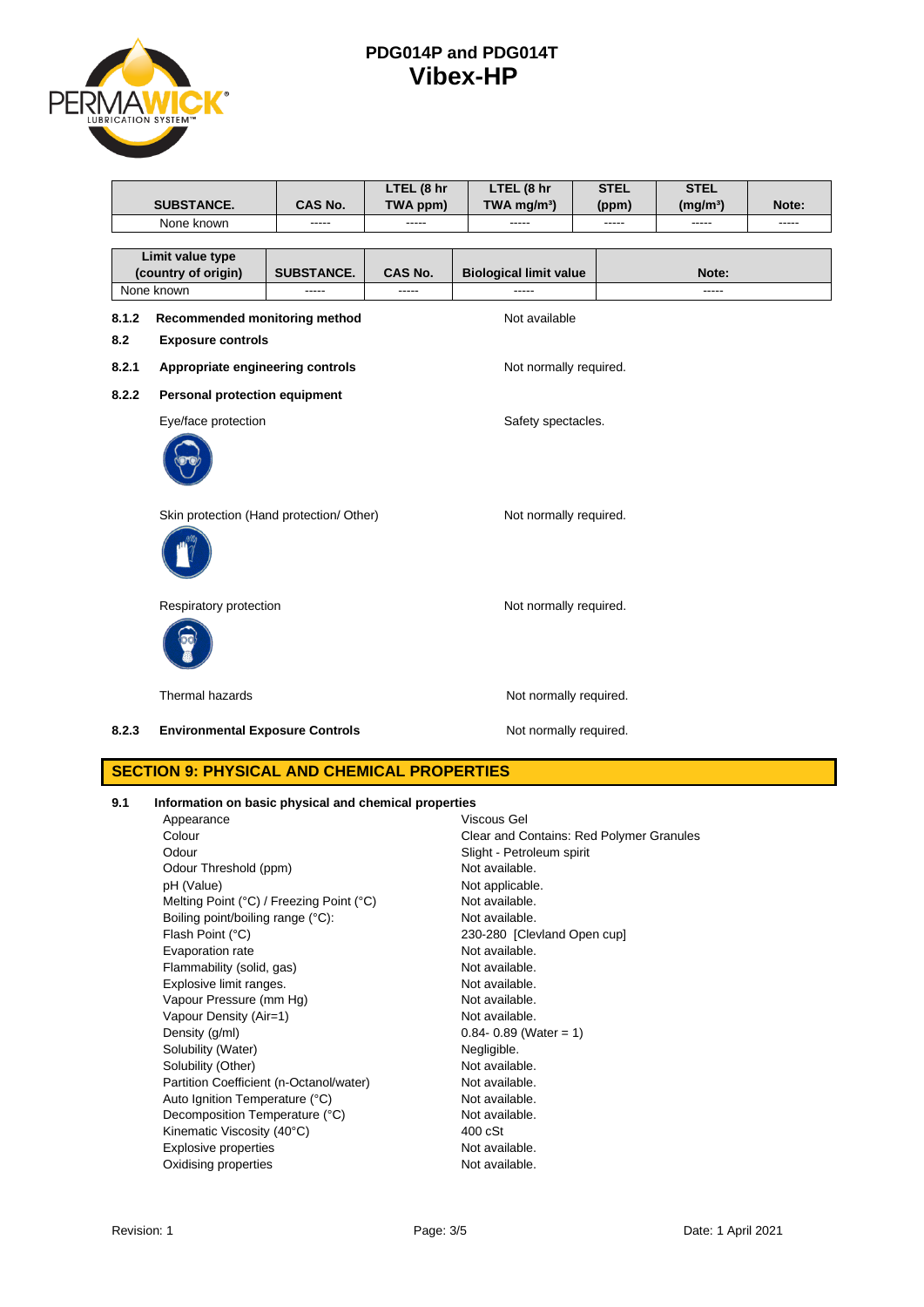

|              | <b>SUBSTANCE.</b>                                                          | CAS No.           | LTEL (8 hr<br>TWA ppm) | LTEL (8 hr<br>TWA mg/m <sup>3</sup> ) | <b>STEL</b><br>(ppm) | <b>STEL</b><br>(mg/m <sup>3</sup> ) | Note: |
|--------------|----------------------------------------------------------------------------|-------------------|------------------------|---------------------------------------|----------------------|-------------------------------------|-------|
|              | None known                                                                 |                   |                        |                                       |                      |                                     | ----- |
|              |                                                                            |                   |                        |                                       |                      |                                     |       |
|              | Limit value type<br>(country of origin)                                    | <b>SUBSTANCE.</b> | <b>CAS No.</b>         | <b>Biological limit value</b>         |                      | Note:                               |       |
|              | None known                                                                 | -----             | -----                  |                                       |                      | -----                               |       |
| 8.1.2<br>8.2 | Recommended monitoring method<br>Not available<br><b>Exposure controls</b> |                   |                        |                                       |                      |                                     |       |
| 8.2.1        | Appropriate engineering controls<br>Not normally required.                 |                   |                        |                                       |                      |                                     |       |
| 8.2.2        | Personal protection equipment                                              |                   |                        |                                       |                      |                                     |       |
|              | Eye/face protection                                                        |                   |                        | Safety spectacles.                    |                      |                                     |       |
|              |                                                                            |                   |                        |                                       |                      |                                     |       |
|              | Skin protection (Hand protection/ Other)                                   |                   |                        | Not normally required.                |                      |                                     |       |
|              |                                                                            |                   |                        |                                       |                      |                                     |       |
|              | Respiratory protection                                                     |                   |                        | Not normally required.                |                      |                                     |       |
|              |                                                                            |                   |                        |                                       |                      |                                     |       |
|              | Thermal hazards                                                            |                   |                        | Not normally required.                |                      |                                     |       |
| 8.2.3        | <b>Environmental Exposure Controls</b>                                     |                   |                        | Not normally required.                |                      |                                     |       |
|              |                                                                            |                   |                        |                                       |                      |                                     |       |

## **SECTION 9: PHYSICAL AND CHEMICAL PROPERTIES**

| 9.1 |  | Information on basic physical and chemical properties |  |
|-----|--|-------------------------------------------------------|--|
|     |  |                                                       |  |

| Appearance                               | Viscous Gel                              |
|------------------------------------------|------------------------------------------|
| Colour                                   | Clear and Contains: Red Polymer Granules |
| Odour                                    | Slight - Petroleum spirit                |
| Odour Threshold (ppm)                    | Not available.                           |
| pH (Value)                               | Not applicable.                          |
| Melting Point (°C) / Freezing Point (°C) | Not available.                           |
| Boiling point/boiling range (°C):        | Not available.                           |
| Flash Point (°C)                         | 230-280 [Clevland Open cup]              |
| Evaporation rate                         | Not available.                           |
| Flammability (solid, gas)                | Not available.                           |
| Explosive limit ranges.                  | Not available.                           |
| Vapour Pressure (mm Hg)                  | Not available.                           |
| Vapour Density (Air=1)                   | Not available.                           |
| Density (g/ml)                           | $0.84 - 0.89$ (Water = 1)                |
| Solubility (Water)                       | Negligible.                              |
| Solubility (Other)                       | Not available.                           |
| Partition Coefficient (n-Octanol/water)  | Not available.                           |
| Auto Ignition Temperature (°C)           | Not available.                           |
| Decomposition Temperature (°C)           | Not available.                           |
| Kinematic Viscosity (40°C)               | $400 \text{ cSt}$                        |
| <b>Explosive properties</b>              | Not available.                           |
| Oxidising properties                     | Not available.                           |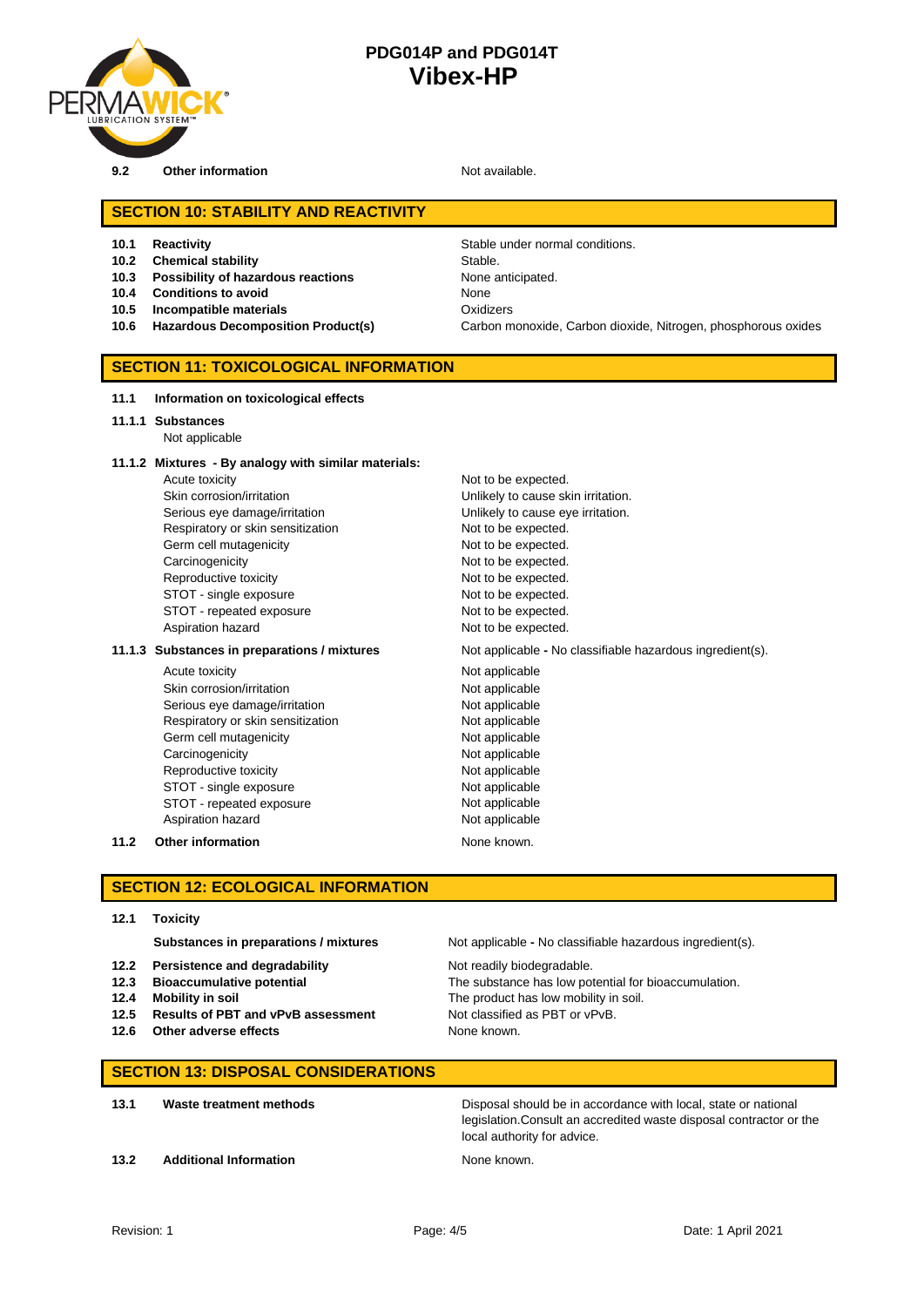

**9.2 Other information Not available.** 

## **SECTION 10: STABILITY AND REACTIVITY**

- 
- **10.2 Chemical stability** Stable.
- **10.3 Possibility of hazardous reactions** None anticipated.
- **10.4 Conditions to avoid** None
- **10.5 Incompatible materials** Oxidizers
- 

**10.1 Reactivity 10.1 Reactivity Stable under normal conditions. 10.6 Hazardous Decomposition Product(s)** Carbon monoxide, Carbon dioxide, Nitrogen, phosphorous oxides

## **SECTION 11: TOXICOLOGICAL INFORMATION**

#### **11.1 Information on toxicological effects**

- **11.1.1 Substances**
	- Not applicable

#### **11.1.2 Mixtures - By analogy with similar materials:**

Acute toxicity **Not to be expected.** Skin corrosion/irritation **Unlikely to cause skin irritation**. Serious eye damage/irritation **Exercise 2018** Unlikely to cause eye irritation. Respiratory or skin sensitization Not to be expected. Germ cell mutagenicity expected. Carcinogenicity **Not to be expected.** Reproductive toxicity Not to be expected. STOT - single exposure Not to be expected. STOT - repeated exposure Not to be expected. Aspiration hazard **Not to be expected.** 

#### **11.1.3** Substances in preparations / mixtures Not applicable - No classifiable hazardous ingredient(s).

Acute toxicity **Not applicable** Skin corrosion/irritation Not applicable Serious eye damage/irritation Not applicable Respiratory or skin sensitization Not applicable Germ cell mutagenicity **Not applicable** Carcinogenicity **Not applicable** Not applicable Reproductive toxicity Not applicable STOT - single exposure Not applicable STOT - repeated exposure Not applicable Aspiration hazard Not applicable

**11.2 Other information** None known.

#### **SECTION 12: ECOLOGICAL INFORMATION**

**12.1 Toxicity**

- **12.2 Persistence and degradability** Not readily biodegradable.
- 
- 
- **12.5 Results of PBT and vPvB assessment** Not classified as PBT or vPvB.
- **12.6 Other adverse effects** None known.

**Substances in preparations / mixtures** Not applicable **-** No classifiable hazardous ingredient(s).

**12.3 Bioaccumulative potential The substance has low potential for bioaccumulation. 12.4 Mobility in soil** The product has low mobility in soil.

#### **SECTION 13: DISPOSAL CONSIDERATIONS**

**13.1 Waste treatment methods Disposal should be in accordance with local, state or national** legislation.Consult an accredited waste disposal contractor or the local authority for advice.

**13.2 Additional Information None known.** None known.